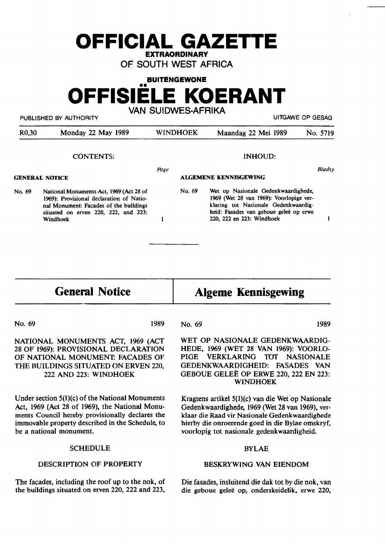# **OFFICIAL GAZETTE EXTRAORDINARY**

OF SOUTH WEST AFRICA

**BUITENGEWONE** 

# •• **OFFISIELE KOERANT**  VAN SUIDWES-AFRIKA

PUBLISHED BY AUTHORITY UITGAWE OP GESAG

| R <sub>0</sub> ,30 | Monday 22 May 1989 | <b>WINDHOEK</b> | Maandag 22 Mei 1989   | No. 5719      |
|--------------------|--------------------|-----------------|-----------------------|---------------|
|                    | <b>CONTENTS:</b>   |                 | INHOUD:               |               |
| GENERAL NOTICE     |                    | Page            | ALGEMENE KENNISGEWING | <b>Bladsy</b> |
|                    |                    |                 |                       |               |

No. 69 National Monuments Act, 1969 (Act 28 of 1969): Provisional declaration of National Monument: Facades of the buildings situated on erven 220, 222, and 223: Windhoek

No. 69 Wet op Nasionale Gedenkwaardighede, **1969** (Wet 28 van 1969): Voorlopige verklaring tot Nasionale Gedenkwaardigheid: Fasades van geboue geleë op erwe 220, 222 en 223: Windhoek

### **General Notice**

# **Algeme Kennisgewing**

No. 69 1989

 $\mathbf{I}$ 

NATIONAL MONUMENTS ACT, 1969 (ACT 28 OF 1969): PROVISIONAL DECLARATION OF **NATIONAL MONUMEN'I: FACADES** OF THE BUILDINGS SITUATED ON ERVEN 220, 222 AND 223: **WINDHOEK** 

Under section 5(1)(c) of the National Monuments Act, 1969 (Act 28 of 1969), the National Monuments Council hereby provisionally declares the immovable property described in the Schedule. to be a national monument.

#### **SCHEDULE**

#### DESCRIPTION OF PROPERTY

The facades, including the roof up to the nok, of the buildings situated on erven 220, 222 and 223,

No. 69 1989

 $\mathbf{I}$ 

WET OP NASIONALE GEDENKWAARDIG-HEDE, 1969 (WET 28 VAN 1969): VOORLO-PIGE VERKLARING TOT NASIONALE GEDENKWAARDIGHEID: FASADES VAN GEBOUE GELEE OP ERWE 220,222 EN 223: **WINDHOEK** 

Kragtens artikel  $5(1)(c)$  van die Wet op Nasionale Gedenkwaardighede, 1969 (Wet 28 van 1969), verklaar die Raad vir Nasionale Gedenkwaardighede hierby die onroerende goed in die Bylae omskryf, voorlopig tot nasionale gedenkwaardigheid.

#### BYLAE

#### BESKRYWING VAN EIENDOM

Die fasades, insluitend die dak tot by die nok, van die geboue gelee op, onderskeidelik, erwe 220,